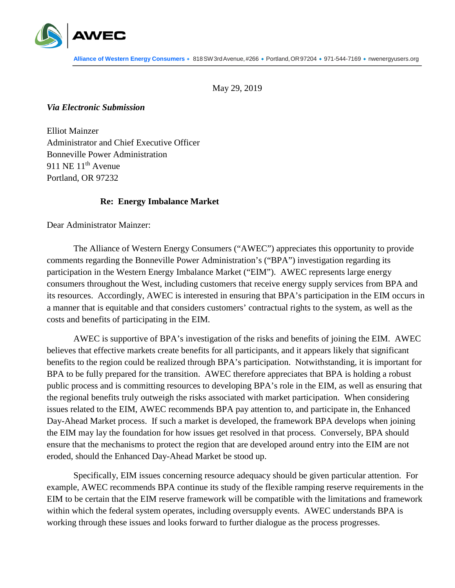

May 29, 2019

## *Via Electronic Submission*

Elliot Mainzer Administrator and Chief Executive Officer Bonneville Power Administration 911 NE 11<sup>th</sup> Avenue Portland, OR 97232

## **Re: Energy Imbalance Market**

Dear Administrator Mainzer:

The Alliance of Western Energy Consumers ("AWEC") appreciates this opportunity to provide comments regarding the Bonneville Power Administration's ("BPA") investigation regarding its participation in the Western Energy Imbalance Market ("EIM"). AWEC represents large energy consumers throughout the West, including customers that receive energy supply services from BPA and its resources. Accordingly, AWEC is interested in ensuring that BPA's participation in the EIM occurs in a manner that is equitable and that considers customers' contractual rights to the system, as well as the costs and benefits of participating in the EIM.

AWEC is supportive of BPA's investigation of the risks and benefits of joining the EIM. AWEC believes that effective markets create benefits for all participants, and it appears likely that significant benefits to the region could be realized through BPA's participation. Notwithstanding, it is important for BPA to be fully prepared for the transition. AWEC therefore appreciates that BPA is holding a robust public process and is committing resources to developing BPA's role in the EIM, as well as ensuring that the regional benefits truly outweigh the risks associated with market participation. When considering issues related to the EIM, AWEC recommends BPA pay attention to, and participate in, the Enhanced Day-Ahead Market process. If such a market is developed, the framework BPA develops when joining the EIM may lay the foundation for how issues get resolved in that process. Conversely, BPA should ensure that the mechanisms to protect the region that are developed around entry into the EIM are not eroded, should the Enhanced Day-Ahead Market be stood up.

Specifically, EIM issues concerning resource adequacy should be given particular attention. For example, AWEC recommends BPA continue its study of the flexible ramping reserve requirements in the EIM to be certain that the EIM reserve framework will be compatible with the limitations and framework within which the federal system operates, including oversupply events. AWEC understands BPA is working through these issues and looks forward to further dialogue as the process progresses.